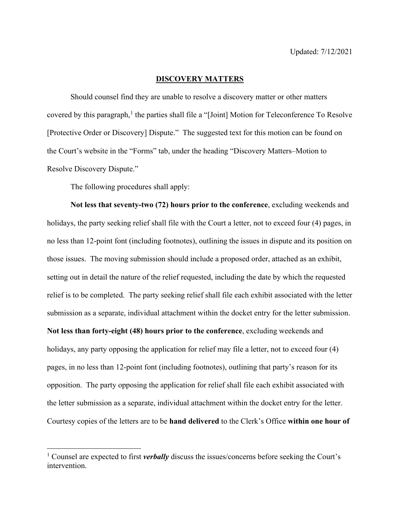## **DISCOVERY MATTERS**

Should counsel find they are unable to resolve a discovery matter or other matters covered by this paragraph,<sup>[1](#page-0-0)</sup> the parties shall file a "[Joint] Motion for Teleconference To Resolve [Protective Order or Discovery] Dispute." The suggested text for this motion can be found on the Court's website in the "Forms" tab, under the heading "Discovery Matters–Motion to Resolve Discovery Dispute."

The following procedures shall apply:

**Not less that seventy-two (72) hours prior to the conference**, excluding weekends and holidays, the party seeking relief shall file with the Court a letter, not to exceed four (4) pages, in no less than 12-point font (including footnotes), outlining the issues in dispute and its position on those issues. The moving submission should include a proposed order, attached as an exhibit, setting out in detail the nature of the relief requested, including the date by which the requested relief is to be completed. The party seeking relief shall file each exhibit associated with the letter submission as a separate, individual attachment within the docket entry for the letter submission. **Not less than forty-eight (48) hours prior to the conference**, excluding weekends and holidays, any party opposing the application for relief may file a letter, not to exceed four (4) pages, in no less than 12-point font (including footnotes), outlining that party's reason for its opposition. The party opposing the application for relief shall file each exhibit associated with the letter submission as a separate, individual attachment within the docket entry for the letter. Courtesy copies of the letters are to be **hand delivered** to the Clerk's Office **within one hour of** 

<span id="page-0-0"></span><sup>1</sup> Counsel are expected to first *verbally* discuss the issues/concerns before seeking the Court's intervention.